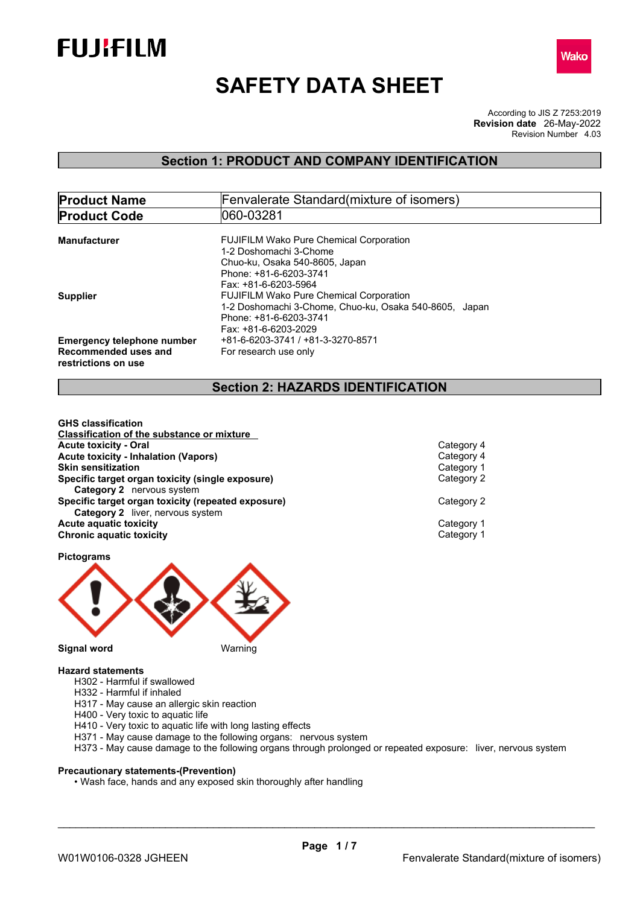



# **SAFETY DATA SHEET**

According to JIS Z 7253:2019 Revision Number 4.03 **Revision date** 26-May-2022

## **Section 1: PRODUCT AND COMPANY IDENTIFICATION**

| <b>Product Name</b>               | <b>Fenvalerate Standard</b> (mixture of isomers)       |  |  |  |
|-----------------------------------|--------------------------------------------------------|--|--|--|
| <b>Product Code</b>               | 060-03281                                              |  |  |  |
|                                   |                                                        |  |  |  |
| Manufacturer                      | <b>FUJIFILM Wako Pure Chemical Corporation</b>         |  |  |  |
|                                   | 1-2 Doshomachi 3-Chome                                 |  |  |  |
|                                   | Chuo-ku, Osaka 540-8605, Japan                         |  |  |  |
|                                   | Phone: +81-6-6203-3741                                 |  |  |  |
|                                   | Fax: +81-6-6203-5964                                   |  |  |  |
| <b>Supplier</b>                   | <b>FUJIFILM Wako Pure Chemical Corporation</b>         |  |  |  |
|                                   | 1-2 Doshomachi 3-Chome, Chuo-ku, Osaka 540-8605, Japan |  |  |  |
|                                   | Phone: +81-6-6203-3741                                 |  |  |  |
|                                   | Fax: +81-6-6203-2029                                   |  |  |  |
| <b>Emergency telephone number</b> | +81-6-6203-3741 / +81-3-3270-8571                      |  |  |  |
| Recommended uses and              | For research use only                                  |  |  |  |
| restrictions on use               |                                                        |  |  |  |
|                                   |                                                        |  |  |  |

## **Section 2: HAZARDS IDENTIFICATION**

**GHS classification Classification of the substance or mixture Acute toxicity - Oral Category 4**<br> **Acute toxicity - Inhalation (Vapors)**<br> **Acute toxicity - Inhalation (Vapors) Acute toxicity - Inhalation (Vapors)** Category 4 **Skin sensitization Specific target organ toxicity (single exposure)** Category 2 **Category 2** nervous system **Specific target organ toxicity (repeated exposure) Category 2 Category 2** liver, nervous system **Acute** aquatic toxicity<br> **Category 1** Chronic aquatic toxicity<br>
Category 1 **Chronic aquatic toxicity** 

**Pictograms**



- **Hazard statements**
	- H302 Harmful if swallowed
	- H332 Harmful if inhaled
	- H317 May cause an allergic skin reaction
	- H400 Very toxic to aquatic life
	- H410 Very toxic to aquatic life with long lasting effects
	- H371 May cause damage to the following organs: nervous system
	- H373 May cause damage to the following organs through prolonged or repeated exposure: liver, nervous system

#### **Precautionary statements-(Prevention)**

• Wash face, hands and any exposed skin thoroughly after handling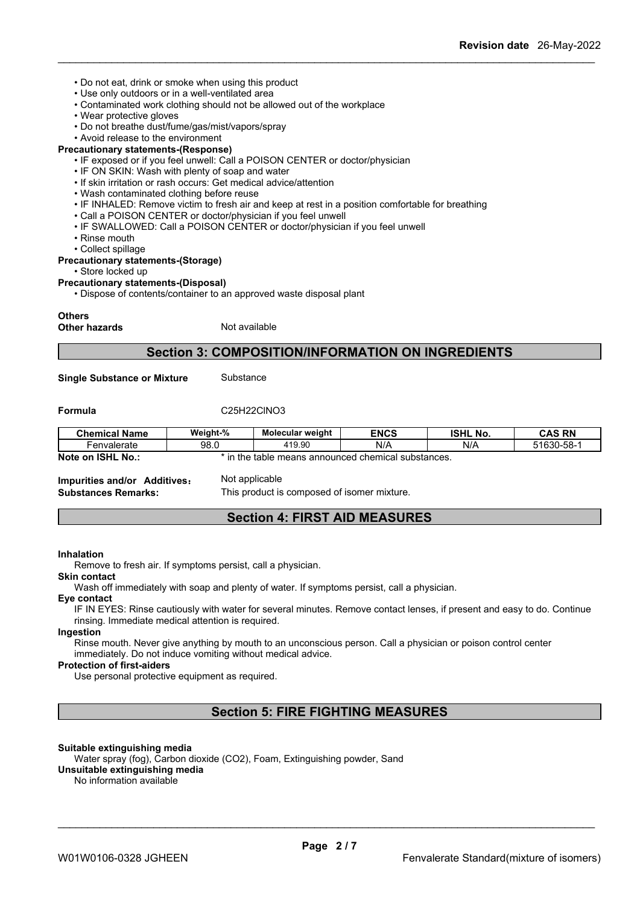- Do not eat, drink or smoke when using this product
- Use only outdoors or in a well-ventilated area
- Contaminated work clothing should not be allowed out of the workplace
- Wear protective gloves
- Do not breathe dust/fume/gas/mist/vapors/spray
- Avoid release to the environment

### **Precautionary statements-(Response)**

- IF exposed or if you feel unwell: Call a POISON CENTER or doctor/physician
- IF ON SKIN: Wash with plenty of soap and water
- If skin irritation or rash occurs: Get medical advice/attention
- Wash contaminated clothing before reuse
- IF INHALED: Remove victim to fresh air and keep at rest in a position comfortable for breathing
- Call a POISON CENTER or doctor/physician if you feel unwell
- IF SWALLOWED: Call a POISON CENTER or doctor/physician if you feel unwell
- Rinse mouth
- Collect spillage

#### **Precautionary statements-(Storage)**

• Store locked up

#### **Precautionary statements-(Disposal)**

• Dispose of contents/container to an approved waste disposal plant

#### **Others**

**Other hazards** Not available

## **Section 3: COMPOSITION/INFORMATION ON INGREDIENTS**

**Single Substance or Mixture** Substance

#### **Formula** C25H22ClNO3

| <b>Chemical Name</b>        | Weight-% | Molecular weight                             | <b>ENCS</b> | <b>ISHL No.</b> | <b>CAS RN</b> |
|-----------------------------|----------|----------------------------------------------|-------------|-----------------|---------------|
| '−envalerate                | 98.0     | 419.90                                       | N/A         | N/A             | 51630-58-1    |
| <b>ISHL No.:</b><br>Note on | n the    | : table means announced chemical substances. |             |                 |               |

**Impurities and/or Additives:** Not applicable

**Substances Remarks:** This product is composed of isomer mixture.

## **Section 4: FIRST AID MEASURES**

#### **Inhalation**

Remove to fresh air. If symptoms persist, call a physician.

#### **Skin contact**

Wash off immediately with soap and plenty of water. If symptoms persist, call a physician.

## **Eye contact**

IF IN EYES: Rinse cautiously with water for several minutes. Remove contact lenses, if present and easy to do. Continue rinsing. Immediate medical attention is required.

#### **Ingestion**

Rinse mouth. Never give anything by mouth to an unconscious person. Call a physician or poison control center immediately. Do not induce vomiting without medical advice.

#### **Protection of first-aiders**

Use personal protective equipment as required.

## **Section 5: FIRE FIGHTING MEASURES**

#### **Suitable extinguishing media**

Water spray (fog), Carbon dioxide (CO2), Foam, Extinguishing powder, Sand **Unsuitable extinguishing media**

No information available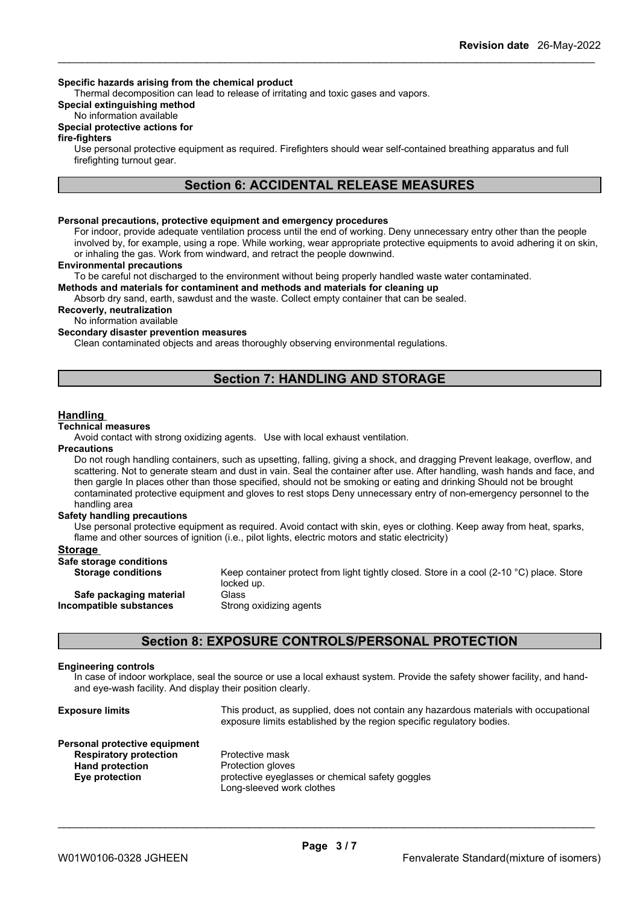#### **Specific hazards arising from the chemical product**

Thermal decomposition can lead to release of irritating and toxic gases and vapors.

#### **Special extinguishing method**

#### No information available

#### **Special protective actions for**

#### **fire-fighters**

Use personal protective equipment as required.Firefighters should wear self-contained breathing apparatus and full firefighting turnout gear.

### **Section 6: ACCIDENTAL RELEASE MEASURES**

#### **Personal precautions, protective equipment and emergency procedures**

For indoor, provide adequate ventilation process until the end of working. Deny unnecessary entry other than the people involved by, for example, using a rope. While working, wear appropriate protective equipments to avoid adhering it on skin, or inhaling the gas. Work from windward, and retract the people downwind.

#### **Environmental precautions**

To be careful not discharged to the environment without being properly handled waste water contaminated.

#### **Methods and materials for contaminent and methods and materials for cleaning up**

Absorb dry sand, earth, sawdust and the waste. Collect empty container that can be sealed.

**Recoverly, neutralization**

No information available

#### **Secondary disaster prevention measures**

Clean contaminated objects and areas thoroughly observing environmental regulations.

## **Section 7: HANDLING AND STORAGE**

#### **Handling**

#### **Technical measures**

Avoid contact with strong oxidizing agents. Use with local exhaust ventilation.

#### **Precautions**

Do not rough handling containers, such as upsetting, falling, giving a shock, and dragging Prevent leakage, overflow, and scattering. Not to generate steam and dust in vain. Seal the container after use. After handling, wash hands and face, and then gargle In places other than those specified, should not be smoking or eating and drinking Should not be brought contaminated protective equipment and gloves to rest stops Deny unnecessary entry of non-emergency personnel to the handling area

#### **Safety handling precautions**

Use personal protective equipment as required. Avoid contact with skin, eyes or clothing. Keep away from heat, sparks, flame and other sources of ignition (i.e., pilot lights, electric motors and static electricity)

#### **Storage**

| Safe storage conditions   |                                                                                                                  |
|---------------------------|------------------------------------------------------------------------------------------------------------------|
| <b>Storage conditions</b> | Keep container protect from light tightly closed. Store in a cool (2-10 $^{\circ}$ C) place. Store<br>locked up. |
| Safe packaging material   | Glass                                                                                                            |
| Incompatible substances   | Strong oxidizing agents                                                                                          |

## **Section 8: EXPOSURE CONTROLS/PERSONAL PROTECTION**

#### **Engineering controls**

In case of indoorworkplace, seal the source or use a local exhaust system. Provide the safety shower facility, and hand and eye-wash facility. And display their position clearly.

| <b>Exposure limits</b>        | This product, as supplied, does not contain any hazardous materials with occupational<br>exposure limits established by the region specific regulatory bodies. |
|-------------------------------|----------------------------------------------------------------------------------------------------------------------------------------------------------------|
| Personal protective equipment |                                                                                                                                                                |
| <b>Respiratory protection</b> | Protective mask                                                                                                                                                |
| <b>Hand protection</b>        | Protection gloves                                                                                                                                              |
| Eye protection                | protective eyeglasses or chemical safety googles<br>Long-sleeved work clothes                                                                                  |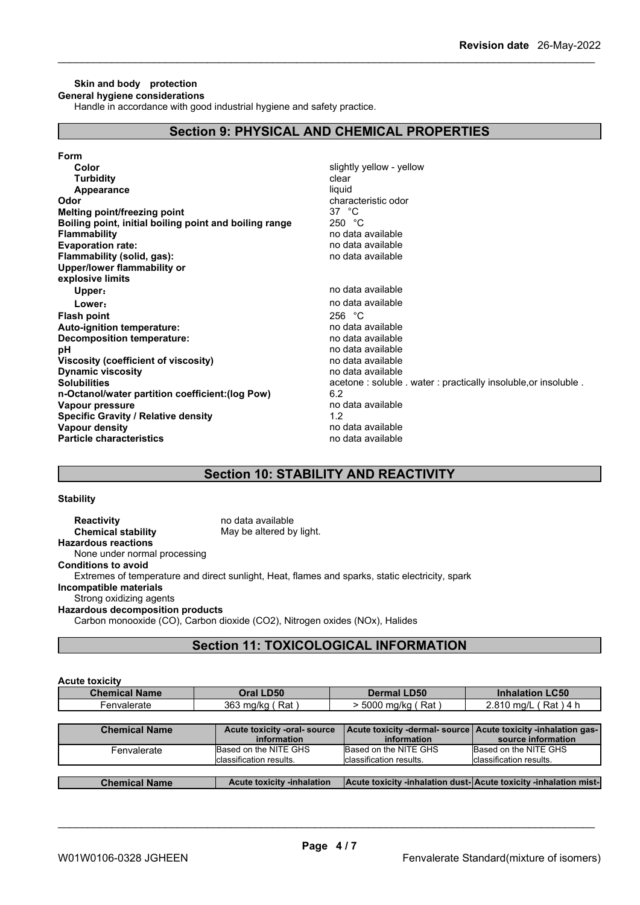#### **Skin and body protection General hygiene considerations**

Handle in accordance with good industrial hygiene and safety practice.

## **Section 9: PHYSICAL AND CHEMICAL PROPERTIES**

| Form                                                   |                                                                |
|--------------------------------------------------------|----------------------------------------------------------------|
| Color                                                  | slightly yellow - yellow                                       |
| <b>Turbidity</b>                                       | clear                                                          |
| Appearance                                             | liquid                                                         |
| Odor                                                   | characteristic odor                                            |
| Melting point/freezing point                           | 37 $\degree$ C                                                 |
| Boiling point, initial boiling point and boiling range | 250 °C                                                         |
| <b>Flammability</b>                                    | no data available                                              |
| <b>Evaporation rate:</b>                               | no data available                                              |
| Flammability (solid, gas):                             | no data available                                              |
| Upper/lower flammability or                            |                                                                |
| explosive limits                                       |                                                                |
| Upper:                                                 | no data available                                              |
| Lower:                                                 | no data available                                              |
| <b>Flash point</b>                                     | 256 °C                                                         |
| Auto-ignition temperature:                             | no data available                                              |
| <b>Decomposition temperature:</b>                      | no data available                                              |
| рH                                                     | no data available                                              |
| Viscosity (coefficient of viscosity)                   | no data available                                              |
| <b>Dynamic viscosity</b>                               | no data available                                              |
| <b>Solubilities</b>                                    | acetone: soluble . water: practically insoluble, or insoluble. |
| n-Octanol/water partition coefficient: (log Pow)       | 6.2                                                            |
| Vapour pressure                                        | no data available                                              |
| <b>Specific Gravity / Relative density</b>             | 1.2                                                            |
| Vapour density                                         | no data available                                              |
| <b>Particle characteristics</b>                        | no data available                                              |
|                                                        |                                                                |

## **Section 10: STABILITY AND REACTIVITY**

#### **Stability**

**Reactivity** no data available<br> **Chemical stability** May be altered by May be altered by light. **Hazardous reactions** None under normal processing **Conditions to avoid** Extremes of temperature and direct sunlight, Heat, flames and sparks, static electricity, spark **Incompatible materials** Strong oxidizing agents **Hazardous decomposition products** Carbon monooxide (CO), Carbon dioxide (CO2), Nitrogen oxides (NOx), Halides

## **Section 11: TOXICOLOGICAL INFORMATION**

| <b>Acute toxicity</b> |                                                  |                                                                  |                                                                                       |
|-----------------------|--------------------------------------------------|------------------------------------------------------------------|---------------------------------------------------------------------------------------|
| <b>Chemical Name</b>  | Oral LD50                                        | <b>Dermal LD50</b>                                               | <b>Inhalation LC50</b>                                                                |
| Fenvalerate           | 363 mg/kg (Rat)                                  | > 5000 mg/kg (Rat)                                               | 2.810 mg/L (Rat) 4 h                                                                  |
|                       |                                                  |                                                                  |                                                                                       |
| <b>Chemical Name</b>  | Acute toxicity -oral- source<br>information      | information                                                      | Acute toxicity -dermal-source   Acute toxicity -inhalation gas-<br>source information |
| Fenvalerate           | Based on the NITE GHS<br>classification results. | Based on the NITE GHS<br>classification results.                 | Based on the NITE GHS<br>classification results.                                      |
|                       |                                                  |                                                                  |                                                                                       |
| <b>Chemical Name</b>  | <b>Acute toxicity -inhalation</b>                | Acute toxicity -inhalation dust-Acute toxicity -inhalation mist- |                                                                                       |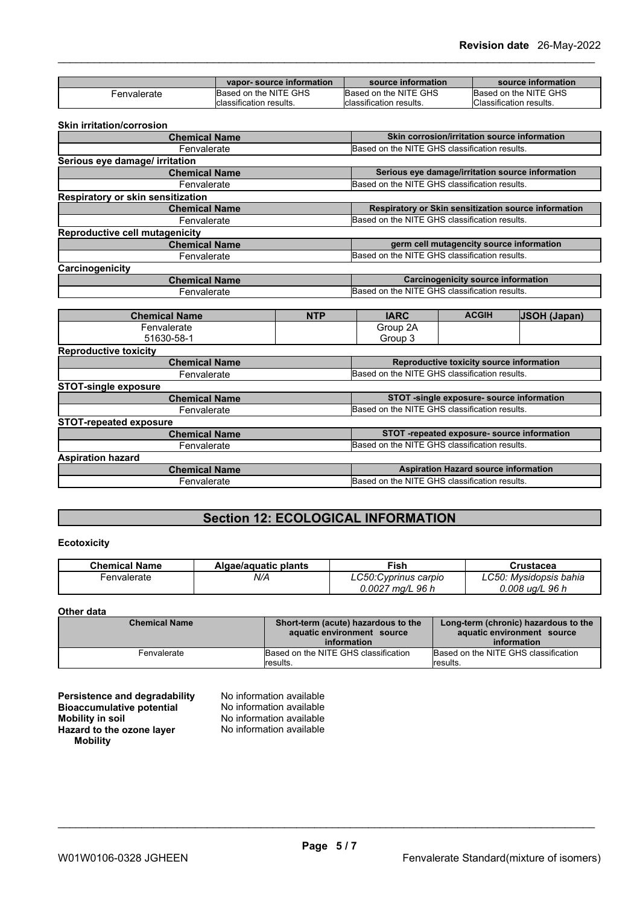|             | vapor-source information | source information       | source information      |
|-------------|--------------------------|--------------------------|-------------------------|
| -envalerate | Based on the NITE GHS    | Based on the NITE GHS    | Based on the NITE GHS   |
|             | Iclassification results. | Iclassification results. | Classification results. |

#### **Skin irritation/corrosion**

| <b>Chemical Name</b>                     | Skin corrosion/irritation source information         |
|------------------------------------------|------------------------------------------------------|
| Fenvalerate                              | Based on the NITE GHS classification results.        |
| Serious eye damage/ irritation           |                                                      |
| <b>Chemical Name</b>                     | Serious eye damage/irritation source information     |
| Fenvalerate                              | Based on the NITE GHS classification results.        |
| <b>Respiratory or skin sensitization</b> |                                                      |
| <b>Chemical Name</b>                     | Respiratory or Skin sensitization source information |
| Fenvalerate                              | Based on the NITE GHS classification results.        |
| <b>Reproductive cell mutagenicity</b>    |                                                      |
| <b>Chemical Name</b>                     | germ cell mutagencity source information             |
| Fenvalerate                              | Based on the NITE GHS classification results.        |
| Carcinogenicity                          |                                                      |
| <b>Chemical Name</b>                     | <b>Carcinogenicity source information</b>            |
| Fenvalerate                              | Based on the NITE GHS classification results.        |

| <b>Chemical Name</b>          | <b>NTP</b>                                    | <b>IARC</b>                                   | <b>ACGIH</b>                                | <b>JSOH (Japan)</b> |
|-------------------------------|-----------------------------------------------|-----------------------------------------------|---------------------------------------------|---------------------|
| Fenvalerate                   |                                               | Group 2A                                      |                                             |                     |
| 51630-58-1                    |                                               | Group 3                                       |                                             |                     |
| <b>Reproductive toxicity</b>  |                                               |                                               |                                             |                     |
| <b>Chemical Name</b>          |                                               |                                               | Reproductive toxicity source information    |                     |
| Fenvalerate                   |                                               | Based on the NITE GHS classification results. |                                             |                     |
| <b>STOT-single exposure</b>   |                                               |                                               |                                             |                     |
| <b>Chemical Name</b>          |                                               |                                               | STOT -single exposure- source information   |                     |
| Fenvalerate                   | Based on the NITE GHS classification results. |                                               |                                             |                     |
| <b>STOT-repeated exposure</b> |                                               |                                               |                                             |                     |
| <b>Chemical Name</b>          |                                               |                                               | STOT -repeated exposure- source information |                     |
| Fenvalerate                   |                                               | Based on the NITE GHS classification results. |                                             |                     |
| <b>Aspiration hazard</b>      |                                               |                                               |                                             |                     |
| <b>Chemical Name</b>          |                                               |                                               | <b>Aspiration Hazard source information</b> |                     |
| Fenvalerate                   |                                               | Based on the NITE GHS classification results. |                                             |                     |
|                               |                                               |                                               |                                             |                     |

## **Section 12: ECOLOGICAL INFORMATION**

#### **Ecotoxicity**

| <b>Chemical Name</b> | Algae/aguatic plants | Fish                     | Crustacea              |
|----------------------|----------------------|--------------------------|------------------------|
| ·envalerate          | N/A                  | LC50: Cyprinus carpio    | ∟C50: Mvsidopsis bahia |
|                      |                      | 0.0027<br>96 h<br>' ma/L | 0.008 ug/L 96 h        |

### **Other data**

| <b>Chemical Name</b> | Short-term (acute) hazardous to the<br>aquatic environment source<br>information | Long-term (chronic) hazardous to the<br>aquatic environment source<br>information |
|----------------------|----------------------------------------------------------------------------------|-----------------------------------------------------------------------------------|
| Fenvalerate          | Based on the NITE GHS classification<br><i>I</i> results.                        | Based on the NITE GHS classification<br>results.                                  |

| Persistence and degradability    |  |
|----------------------------------|--|
| <b>Bioaccumulative potential</b> |  |
| <b>Mobility in soil</b>          |  |
| Hazard to the ozone layer        |  |
| <b>Mobility</b>                  |  |

**No information available No information available Mobility in soil** No information available **Hazard to the ozone layer** No information available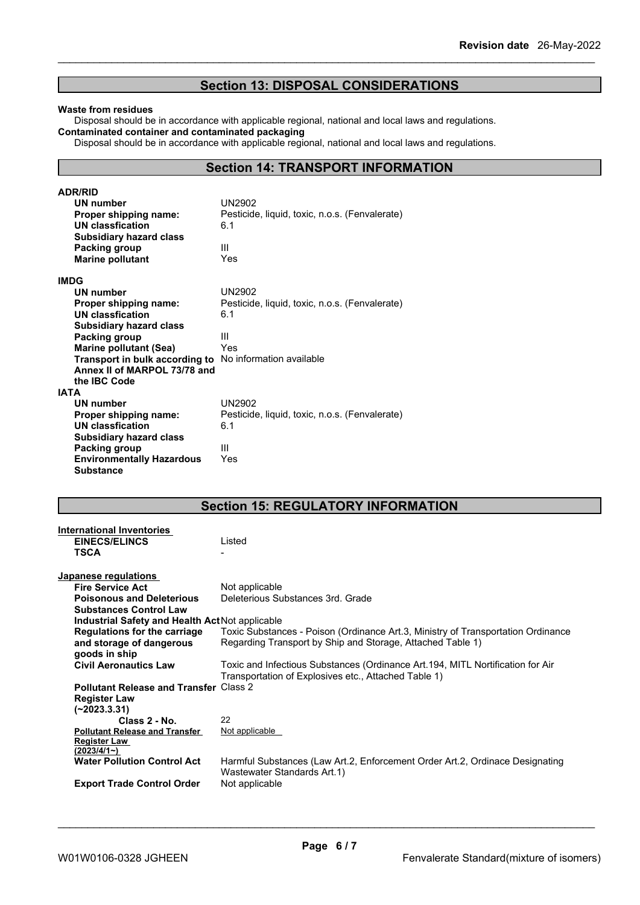## **Section 13: DISPOSAL CONSIDERATIONS**

#### **Waste from residues**

Disposal should be in accordance with applicable regional, national and local laws and regulations. **Contaminated container and contaminated packaging**

Disposal should be in accordance with applicable regional, national and local laws and regulations.

### **Section 14: TRANSPORT INFORMATION**

| <b>ADR/RID</b>                                          |                                                       |
|---------------------------------------------------------|-------------------------------------------------------|
| UN number                                               | UN2902                                                |
| <b>Proper shipping name:</b>                            | Pesticide, liquid, toxic, n.o.s. (Fenvalerate)        |
| UN classfication                                        | 6.1                                                   |
| Subsidiary hazard class                                 |                                                       |
| Packing group                                           | Ш                                                     |
| <b>Marine pollutant</b>                                 | Yes                                                   |
| <b>IMDG</b>                                             |                                                       |
| UN number                                               | <b>UN2902</b>                                         |
| Proper shipping name:                                   | Pesticide, liquid, toxic, n.o.s. (Fenvalerate)        |
| <b>UN classfication</b>                                 | 6.1                                                   |
| <b>Subsidiary hazard class</b>                          |                                                       |
| Packing group                                           | Ш                                                     |
| <b>Marine pollutant (Sea)</b>                           | Yes                                                   |
| Transport in bulk according to No information available |                                                       |
| Annex II of MARPOL 73/78 and                            |                                                       |
| the IBC Code                                            |                                                       |
| <b>IATA</b>                                             |                                                       |
| <b>UN number</b>                                        | <b>UN2902</b>                                         |
|                                                         |                                                       |
| Proper shipping name:                                   | Pesticide, liquid, toxic, n.o.s. (Fenvalerate)<br>6.1 |
| <b>UN classfication</b>                                 |                                                       |
| <b>Subsidiary hazard class</b>                          |                                                       |
| Packing group                                           | Ш                                                     |
| <b>Environmentally Hazardous</b>                        | Yes                                                   |
| Substance                                               |                                                       |

## **Section 15: REGULATORY INFORMATION**

| <b>International Inventories</b>                |                                                                                  |
|-------------------------------------------------|----------------------------------------------------------------------------------|
| <b>EINECS/ELINCS</b>                            | Listed                                                                           |
| <b>TSCA</b>                                     |                                                                                  |
|                                                 |                                                                                  |
| Japanese regulations                            |                                                                                  |
| <b>Fire Service Act</b>                         | Not applicable                                                                   |
| <b>Poisonous and Deleterious</b>                | Deleterious Substances 3rd. Grade                                                |
| <b>Substances Control Law</b>                   |                                                                                  |
| Industrial Safety and Health Act Not applicable |                                                                                  |
| Regulations for the carriage                    | Toxic Substances - Poison (Ordinance Art.3, Ministry of Transportation Ordinance |
| and storage of dangerous                        | Regarding Transport by Ship and Storage, Attached Table 1)                       |
| goods in ship                                   |                                                                                  |
| <b>Civil Aeronautics Law</b>                    | Toxic and Infectious Substances (Ordinance Art.194, MITL Nortification for Air   |
|                                                 | Transportation of Explosives etc., Attached Table 1)                             |
| <b>Pollutant Release and Transfer Class 2</b>   |                                                                                  |
| <b>Register Law</b>                             |                                                                                  |
| $(-2023.3.31)$                                  |                                                                                  |
| Class 2 - No.                                   | 22                                                                               |
| <b>Pollutant Release and Transfer</b>           | Not applicable                                                                   |
| <b>Register Law</b>                             |                                                                                  |
| (2023/4/1)                                      |                                                                                  |
| <b>Water Pollution Control Act</b>              | Harmful Substances (Law Art.2, Enforcement Order Art.2, Ordinace Designating     |
|                                                 | Wastewater Standards Art.1)                                                      |
| <b>Export Trade Control Order</b>               | Not applicable                                                                   |
|                                                 |                                                                                  |